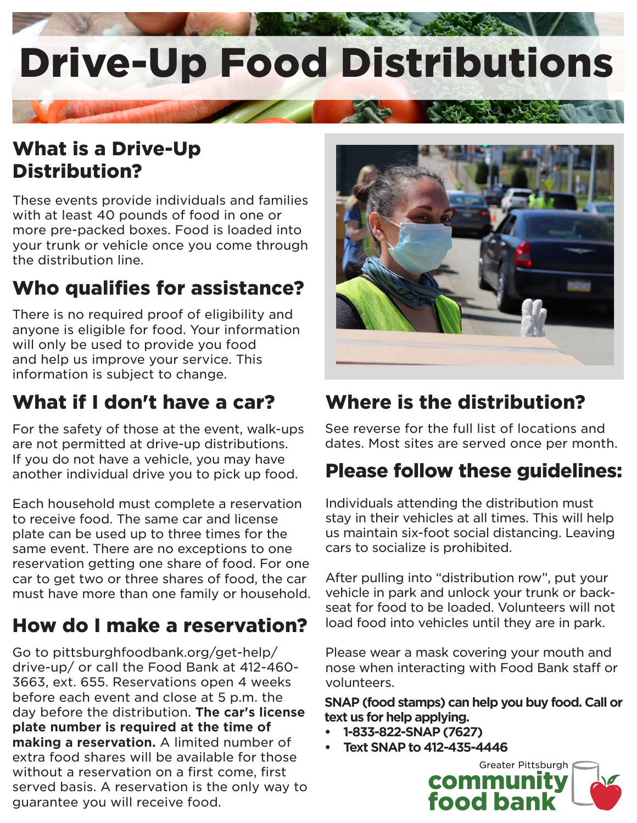

## What is a Drive-Up Distribution?

These events provide individuals and families with at least 40 pounds of food in one or more pre-packed boxes. Food is loaded into your trunk or vehicle once you come through the distribution line.

# Who qualifies for assistance?

There is no required proof of eligibility and anyone is eligible for food. Your information will only be used to provide you food and help us improve your service. This information is subject to change.

# What if I don't have a car?

For the safety of those at the event, walk-ups are not permitted at drive-up distributions. If you do not have a vehicle, you may have another individual drive you to pick up food.

Each household must complete a reservation to receive food. The same car and license plate can be used up to three times for the same event. There are no exceptions to one reservation getting one share of food. For one car to get two or three shares of food, the car must have more than one family or household.

## How do I make a reservation?

Go to pittsburghfoodbank.org/get-help/ drive-up/ or call the Food Bank at 412-460- 3663, ext. 655. Reservations open 4 weeks before each event and close at 5 p.m. the day before the distribution. **The car's license plate number is required at the time of making a reservation.** A limited number of extra food shares will be available for those without a reservation on a first come, first served basis. A reservation is the only way to guarantee you will receive food.



### Where is the distribution?

See reverse for the full list of locations and dates. Most sites are served once per month.

### Please follow these guidelines:

Individuals attending the distribution must stay in their vehicles at all times. This will help us maintain six-foot social distancing. Leaving cars to socialize is prohibited.

After pulling into "distribution row", put your vehicle in park and unlock your trunk or backseat for food to be loaded. Volunteers will not load food into vehicles until they are in park.

Please wear a mask covering your mouth and nose when interacting with Food Bank staff or volunteers.

**SNAP (food stamps) can help you buy food. Call or text us for help applying.**

- **• 1-833-822-SNAP (7627)**
- **• Text SNAP to 412-435-4446**